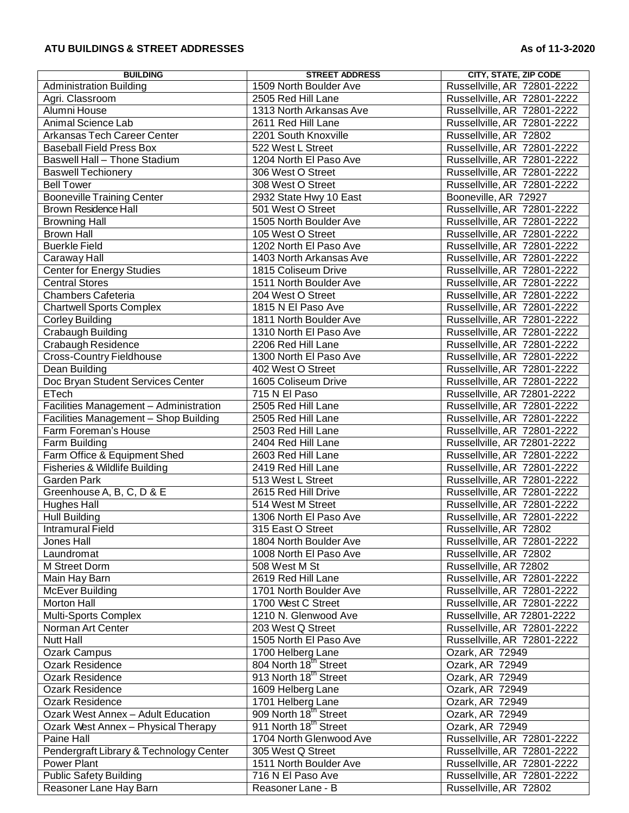## **ATU BUILDINGS & STREET ADDRESSES As of 11-3-2020**

| <b>BUILDING</b>                         | <b>STREET ADDRESS</b>             | <b>CITY, STATE, ZIP CODE</b> |
|-----------------------------------------|-----------------------------------|------------------------------|
| <b>Administration Building</b>          | 1509 North Boulder Ave            | Russellville, AR 72801-2222  |
| Agri. Classroom                         | 2505 Red Hill Lane                | Russellville, AR 72801-2222  |
| Alumni House                            | 1313 North Arkansas Ave           | Russellville, AR 72801-2222  |
| Animal Science Lab                      | 2611 Red Hill Lane                | Russellville, AR 72801-2222  |
| <b>Arkansas Tech Career Center</b>      | 2201 South Knoxville              | Russellville, AR 72802       |
| <b>Baseball Field Press Box</b>         | 522 West L Street                 | Russellville, AR 72801-2222  |
| Baswell Hall - Thone Stadium            | 1204 North El Paso Ave            | Russellville, AR 72801-2222  |
| <b>Baswell Techionery</b>               | 306 West O Street                 | Russellville, AR 72801-2222  |
| <b>Bell Tower</b>                       | 308 West O Street                 | Russellville, AR 72801-2222  |
|                                         |                                   |                              |
| <b>Booneville Training Center</b>       | 2932 State Hwy 10 East            | Booneville, AR 72927         |
| <b>Brown Residence Hall</b>             | 501 West O Street                 | Russellville, AR 72801-2222  |
| <b>Browning Hall</b>                    | 1505 North Boulder Ave            | Russellville, AR 72801-2222  |
| <b>Brown Hall</b>                       | 105 West O Street                 | Russellville, AR 72801-2222  |
| <b>Buerkle Field</b>                    | 1202 North El Paso Ave            | Russellville, AR 72801-2222  |
| Caraway Hall                            | 1403 North Arkansas Ave           | Russellville, AR 72801-2222  |
| <b>Center for Energy Studies</b>        | 1815 Coliseum Drive               | Russellville, AR 72801-2222  |
| <b>Central Stores</b>                   | 1511 North Boulder Ave            | Russellville, AR 72801-2222  |
| Chambers Cafeteria                      | 204 West O Street                 | Russellville, AR 72801-2222  |
| <b>Chartwell Sports Complex</b>         | 1815 N El Paso Ave                | Russellville, AR 72801-2222  |
| <b>Corley Building</b>                  | 1811 North Boulder Ave            | Russellville, AR 72801-2222  |
| Crabaugh Building                       | 1310 North El Paso Ave            | Russellville, AR 72801-2222  |
| Crabaugh Residence                      | 2206 Red Hill Lane                | Russellville, AR 72801-2222  |
| <b>Cross-Country Fieldhouse</b>         | 1300 North El Paso Ave            | Russellville, AR 72801-2222  |
| Dean Building                           | 402 West O Street                 | Russellville, AR 72801-2222  |
| Doc Bryan Student Services Center       | 1605 Coliseum Drive               | Russellville, AR 72801-2222  |
| ETech                                   | 715 N El Paso                     | Russellville, AR 72801-2222  |
|                                         | 2505 Red Hill Lane                | Russellville, AR 72801-2222  |
| Facilities Management - Administration  |                                   |                              |
| Facilities Management - Shop Building   | 2505 Red Hill Lane                | Russellville, AR 72801-2222  |
| Farm Foreman's House                    | 2503 Red Hill Lane                | Russellville, AR 72801-2222  |
| Farm Building                           | 2404 Red Hill Lane                | Russellville, AR 72801-2222  |
| Farm Office & Equipment Shed            | 2603 Red Hill Lane                | Russellville, AR 72801-2222  |
| Fisheries & Wildlife Building           | 2419 Red Hill Lane                | Russellville, AR 72801-2222  |
| <b>Garden Park</b>                      | 513 West L Street                 | Russellville, AR 72801-2222  |
| Greenhouse A, B, C, D & E               | 2615 Red Hill Drive               | Russellville, AR 72801-2222  |
| <b>Hughes Hall</b>                      | 514 West M Street                 | Russellville, AR 72801-2222  |
| <b>Hull Building</b>                    | 1306 North El Paso Ave            | Russellville, AR 72801-2222  |
| <b>Intramural Field</b>                 | 315 East O Street                 | Russellville, AR 72802       |
| Jones Hall                              | 1804 North Boulder Ave            | Russellville, AR 72801-2222  |
| Laundromat                              | 1008 North El Paso Ave            | Russellville, AR 72802       |
| M Street Dorm                           | 508 West M St                     | Russellville, AR 72802       |
| Main Hay Barn                           | 2619 Red Hill Lane                | Russellville, AR 72801-2222  |
| <b>McEver Building</b>                  | 1701 North Boulder Ave            | Russellville, AR 72801-2222  |
| Morton Hall                             | 1700 West C Street                | Russellville, AR 72801-2222  |
| Multi-Sports Complex                    | 1210 N. Glenwood Ave              | Russellville, AR 72801-2222  |
| Norman Art Center                       | 203 West Q Street                 | Russellville, AR 72801-2222  |
| <b>Nutt Hall</b>                        | 1505 North El Paso Ave            | Russellville, AR 72801-2222  |
|                                         |                                   |                              |
| Ozark Campus                            | 1700 Helberg Lane                 | Ozark, AR 72949              |
| Ozark Residence                         | 804 North 18 <sup>th</sup> Street | Ozark, AR 72949              |
| Ozark Residence                         | 913 North 18 <sup>th</sup> Street | Ozark, AR 72949              |
| Ozark Residence                         | 1609 Helberg Lane                 | Ozark, AR 72949              |
| <b>Ozark Residence</b>                  | 1701 Helberg Lane                 | Ozark, AR 72949              |
| Ozark West Annex - Adult Education      | 909 North 18 <sup>th</sup> Street | Ozark, AR 72949              |
| Ozark West Annex - Physical Therapy     | 911 North 18 <sup>th</sup> Street | Ozark, AR 72949              |
| Paine Hall                              | 1704 North Glenwood Ave           | Russellville, AR 72801-2222  |
| Pendergraft Library & Technology Center | 305 West Q Street                 | Russellville, AR 72801-2222  |
| Power Plant                             | 1511 North Boulder Ave            | Russellville, AR 72801-2222  |
| <b>Public Safety Building</b>           | 716 N El Paso Ave                 | Russellville, AR 72801-2222  |
| Reasoner Lane Hay Barn                  | Reasoner Lane - B                 | Russellville, AR 72802       |
|                                         |                                   |                              |